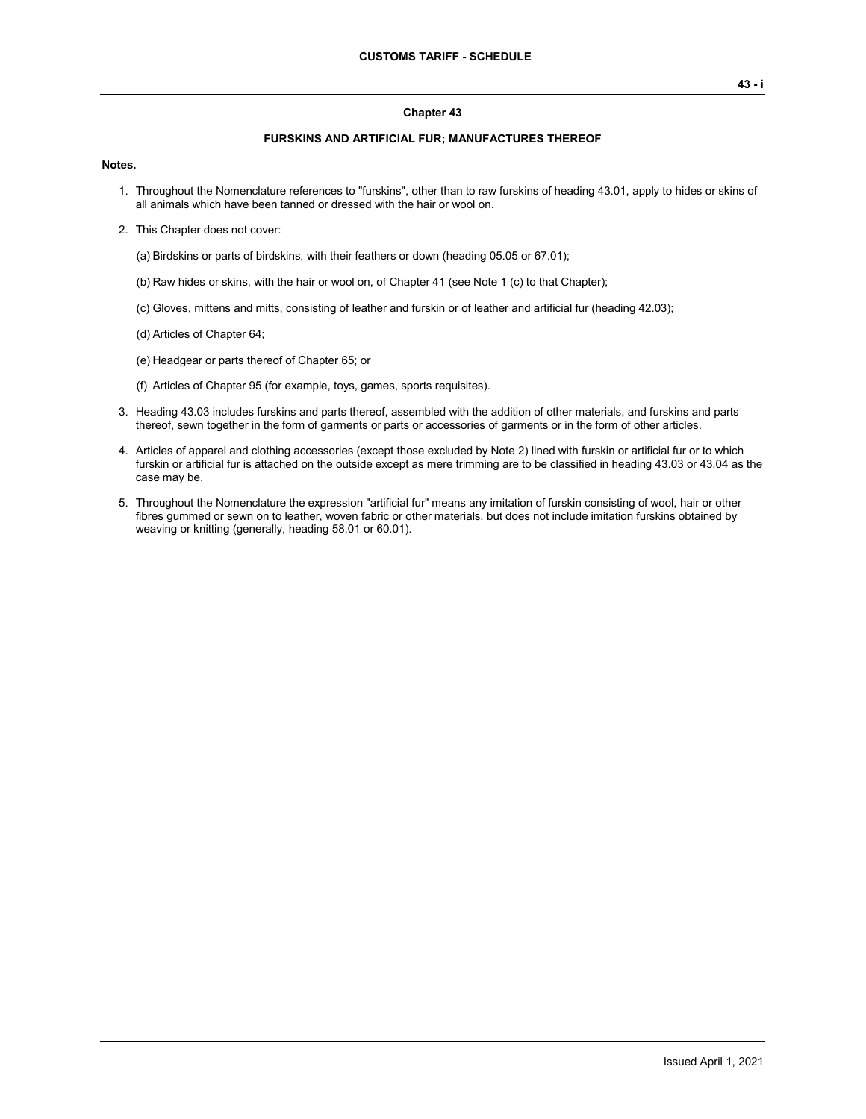### **Chapter 43**

### **FURSKINS AND ARTIFICIAL FUR; MANUFACTURES THEREOF**

#### **Notes.**

- 1. Throughout the Nomenclature references to "furskins", other than to raw furskins of heading 43.01, apply to hides or skins of all animals which have been tanned or dressed with the hair or wool on.
- 2. This Chapter does not cover:

(a) Birdskins or parts of birdskins, with their feathers or down (heading 05.05 or 67.01);

- (b) Raw hides or skins, with the hair or wool on, of Chapter 41 (see Note 1 (c) to that Chapter);
- (c) Gloves, mittens and mitts, consisting of leather and furskin or of leather and artificial fur (heading 42.03);
- (d) Articles of Chapter 64;
- (e) Headgear or parts thereof of Chapter 65; or
- (f) Articles of Chapter 95 (for example, toys, games, sports requisites).
- 3. Heading 43.03 includes furskins and parts thereof, assembled with the addition of other materials, and furskins and parts thereof, sewn together in the form of garments or parts or accessories of garments or in the form of other articles.
- 4. Articles of apparel and clothing accessories (except those excluded by Note 2) lined with furskin or artificial fur or to which furskin or artificial fur is attached on the outside except as mere trimming are to be classified in heading 43.03 or 43.04 as the case may be.
- 5. Throughout the Nomenclature the expression "artificial fur" means any imitation of furskin consisting of wool, hair or other fibres gummed or sewn on to leather, woven fabric or other materials, but does not include imitation furskins obtained by weaving or knitting (generally, heading 58.01 or 60.01).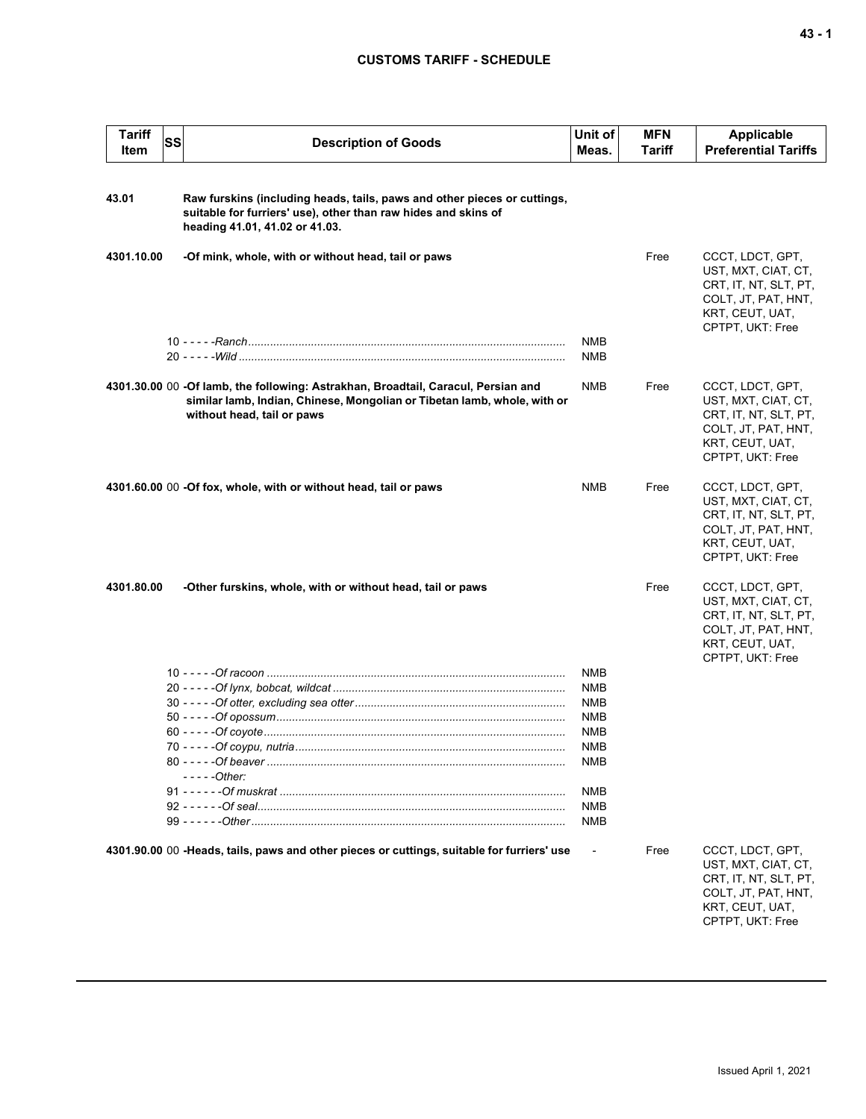# **CUSTOMS TARIFF - SCHEDULE**

| <b>Tariff</b><br>Item | <b>SS</b> | <b>Description of Goods</b>                                                                                                                                                                 | Unit of<br>Meas.                                                                        | <b>MFN</b><br>Tariff | <b>Applicable</b><br><b>Preferential Tariffs</b>                                                                               |
|-----------------------|-----------|---------------------------------------------------------------------------------------------------------------------------------------------------------------------------------------------|-----------------------------------------------------------------------------------------|----------------------|--------------------------------------------------------------------------------------------------------------------------------|
|                       |           |                                                                                                                                                                                             |                                                                                         |                      |                                                                                                                                |
| 43.01                 |           | Raw furskins (including heads, tails, paws and other pieces or cuttings,<br>suitable for furriers' use), other than raw hides and skins of<br>heading 41.01, 41.02 or 41.03.                |                                                                                         |                      |                                                                                                                                |
| 4301.10.00            |           | -Of mink, whole, with or without head, tail or paws                                                                                                                                         |                                                                                         | Free                 | CCCT, LDCT, GPT,<br>UST, MXT, CIAT, CT,<br>CRT, IT, NT, SLT, PT,<br>COLT, JT, PAT, HNT,<br>KRT, CEUT, UAT,<br>CPTPT, UKT: Free |
|                       |           |                                                                                                                                                                                             | NMB<br><b>NMB</b>                                                                       |                      |                                                                                                                                |
|                       |           | 4301.30.00 00 -Of lamb, the following: Astrakhan, Broadtail, Caracul, Persian and<br>similar lamb, Indian, Chinese, Mongolian or Tibetan lamb, whole, with or<br>without head, tail or paws | NMB                                                                                     | Free                 | CCCT, LDCT, GPT,<br>UST, MXT, CIAT, CT,<br>CRT, IT, NT, SLT, PT,<br>COLT, JT, PAT, HNT,<br>KRT, CEUT, UAT,<br>CPTPT, UKT: Free |
|                       |           | 4301.60.00 00 -Of fox, whole, with or without head, tail or paws                                                                                                                            | <b>NMB</b>                                                                              | Free                 | CCCT, LDCT, GPT,<br>UST, MXT, CIAT, CT,<br>CRT, IT, NT, SLT, PT,<br>COLT, JT, PAT, HNT,<br>KRT, CEUT, UAT,<br>CPTPT, UKT: Free |
| 4301.80.00            |           | -Other furskins, whole, with or without head, tail or paws                                                                                                                                  |                                                                                         | Free                 | CCCT, LDCT, GPT,<br>UST, MXT, CIAT, CT,<br>CRT, IT, NT, SLT, PT,<br>COLT, JT, PAT, HNT,<br>KRT, CEUT, UAT,<br>CPTPT, UKT: Free |
|                       |           | $---Other:$                                                                                                                                                                                 | NMB<br><b>NMB</b><br><b>NMB</b><br><b>NMB</b><br>NMB<br>NMB<br>NMB<br>NMB<br>NMB<br>NMB |                      |                                                                                                                                |
|                       |           | 4301.90.00 00 -Heads, tails, paws and other pieces or cuttings, suitable for furriers' use                                                                                                  |                                                                                         | Free                 | CCCT, LDCT, GPT,<br>UST, MXT, CIAT, CT,<br>CRT, IT, NT, SLT, PT,<br>COLT, JT, PAT, HNT,<br>KRT, CEUT, UAT,<br>CPTPT, UKT: Free |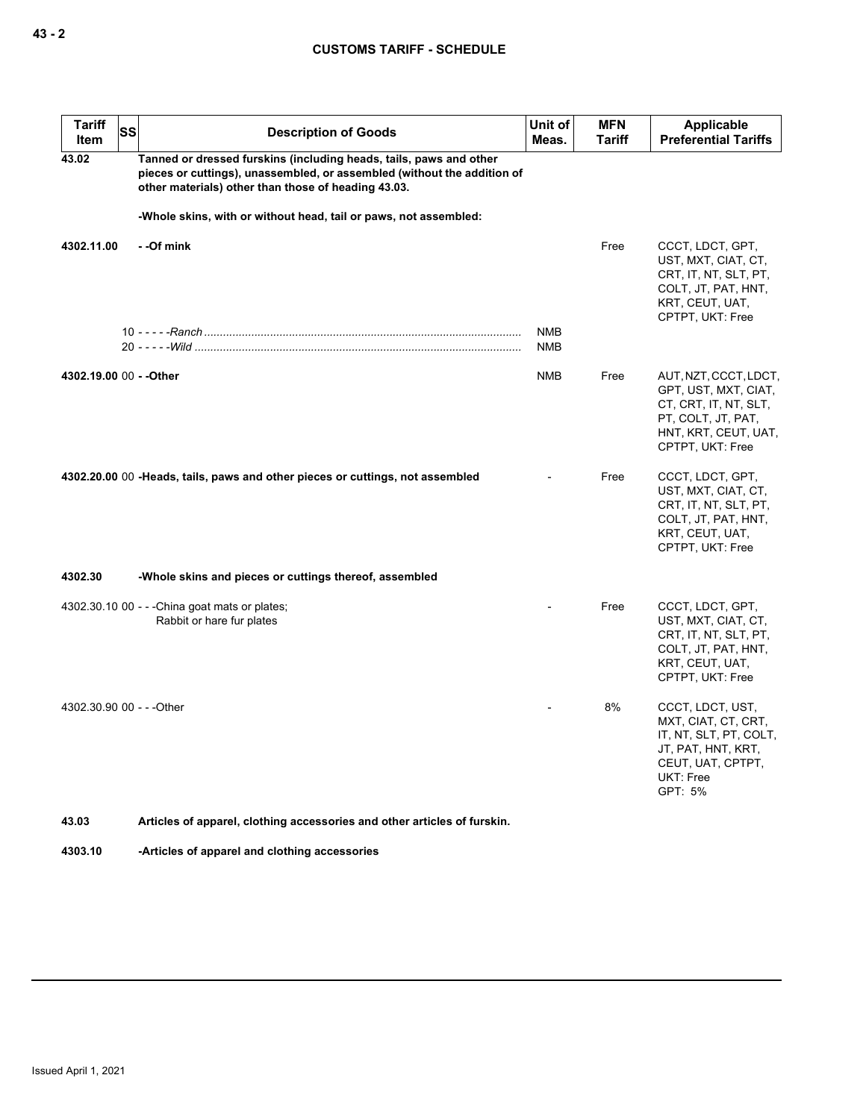## **CUSTOMS TARIFF - SCHEDULE**

| <b>Tariff</b><br><b>Item</b> | SS<br><b>Description of Goods</b>                                                                                                                                                                    | Unit of<br>Meas.         | <b>MFN</b><br><b>Tariff</b> | Applicable<br><b>Preferential Tariffs</b>                                                                                                |
|------------------------------|------------------------------------------------------------------------------------------------------------------------------------------------------------------------------------------------------|--------------------------|-----------------------------|------------------------------------------------------------------------------------------------------------------------------------------|
| 43.02                        | Tanned or dressed furskins (including heads, tails, paws and other<br>pieces or cuttings), unassembled, or assembled (without the addition of<br>other materials) other than those of heading 43.03. |                          |                             |                                                                                                                                          |
|                              | -Whole skins, with or without head, tail or paws, not assembled:                                                                                                                                     |                          |                             |                                                                                                                                          |
| 4302.11.00                   | - - Of mink                                                                                                                                                                                          |                          | Free                        | CCCT, LDCT, GPT,<br>UST, MXT, CIAT, CT,<br>CRT, IT, NT, SLT, PT,<br>COLT, JT, PAT, HNT,<br>KRT, CEUT, UAT,<br>CPTPT, UKT: Free           |
|                              |                                                                                                                                                                                                      | <b>NMB</b><br><b>NMB</b> |                             |                                                                                                                                          |
| 4302.19.00 00 - - Other      |                                                                                                                                                                                                      | <b>NMB</b>               | Free                        | AUT, NZT, CCCT, LDCT,<br>GPT, UST, MXT, CIAT,<br>CT, CRT, IT, NT, SLT,<br>PT, COLT, JT, PAT,<br>HNT, KRT, CEUT, UAT,<br>CPTPT, UKT: Free |
|                              | 4302.20.00 00 - Heads, tails, paws and other pieces or cuttings, not assembled                                                                                                                       |                          | Free                        | CCCT, LDCT, GPT,<br>UST, MXT, CIAT, CT,<br>CRT, IT, NT, SLT, PT,<br>COLT, JT, PAT, HNT,<br>KRT, CEUT, UAT,<br>CPTPT, UKT: Free           |
| 4302.30                      | -Whole skins and pieces or cuttings thereof, assembled                                                                                                                                               |                          |                             |                                                                                                                                          |
|                              | 4302.30.10 00 - - - China goat mats or plates;<br>Rabbit or hare fur plates                                                                                                                          |                          | Free                        | CCCT, LDCT, GPT,<br>UST, MXT, CIAT, CT,<br>CRT, IT, NT, SLT, PT,<br>COLT, JT, PAT, HNT,<br>KRT, CEUT, UAT,<br>CPTPT, UKT: Free           |
| 4302.30.90 00 - - - Other    |                                                                                                                                                                                                      |                          | 8%                          | CCCT, LDCT, UST,<br>MXT, CIAT, CT, CRT,<br>IT, NT, SLT, PT, COLT,<br>JT, PAT, HNT, KRT,<br>CEUT, UAT, CPTPT,<br>UKT: Free<br>GPT: 5%     |
| 43.03                        | Articles of apparel, clothing accessories and other articles of furskin.                                                                                                                             |                          |                             |                                                                                                                                          |

**4303.10 -Articles of apparel and clothing accessories**